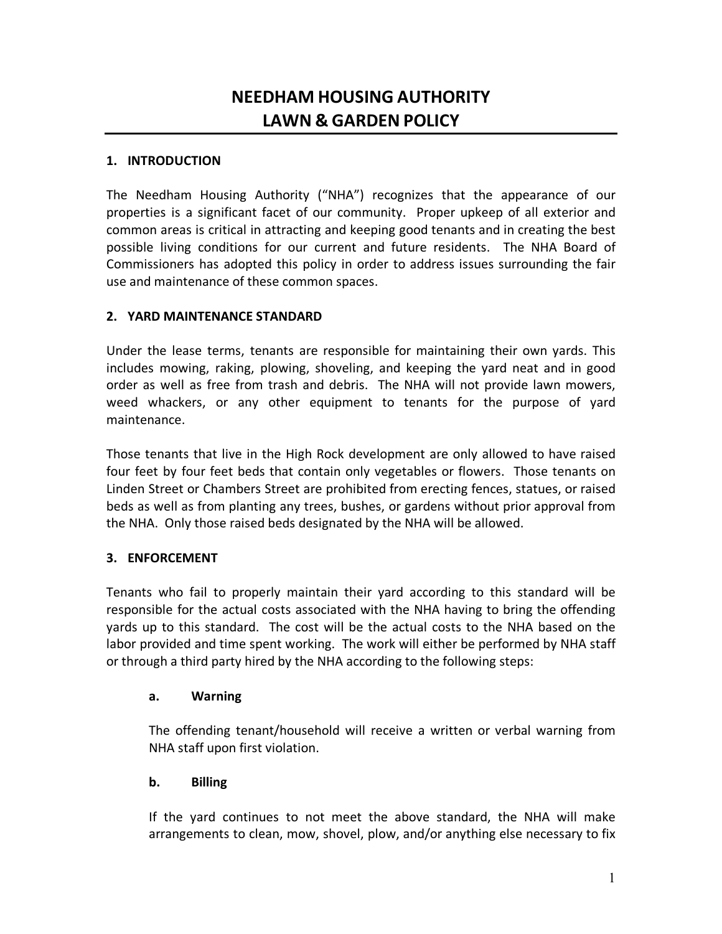# **NEEDHAM HOUSING AUTHORITY LAWN & GARDEN POLICY**

## **1. INTRODUCTION**

The Needham Housing Authority ("NHA") recognizes that the appearance of our properties is a significant facet of our community. Proper upkeep of all exterior and common areas is critical in attracting and keeping good tenants and in creating the best possible living conditions for our current and future residents. The NHA Board of Commissioners has adopted this policy in order to address issues surrounding the fair use and maintenance of these common spaces.

## **2. YARD MAINTENANCE STANDARD**

Under the lease terms, tenants are responsible for maintaining their own yards. This includes mowing, raking, plowing, shoveling, and keeping the yard neat and in good order as well as free from trash and debris. The NHA will not provide lawn mowers, weed whackers, or any other equipment to tenants for the purpose of yard maintenance.

Those tenants that live in the High Rock development are only allowed to have raised four feet by four feet beds that contain only vegetables or flowers. Those tenants on Linden Street or Chambers Street are prohibited from erecting fences, statues, or raised beds as well as from planting any trees, bushes, or gardens without prior approval from the NHA. Only those raised beds designated by the NHA will be allowed.

## **3. ENFORCEMENT**

Tenants who fail to properly maintain their yard according to this standard will be responsible for the actual costs associated with the NHA having to bring the offending yards up to this standard. The cost will be the actual costs to the NHA based on the labor provided and time spent working. The work will either be performed by NHA staff or through a third party hired by the NHA according to the following steps:

#### **a. Warning**

The offending tenant/household will receive a written or verbal warning from NHA staff upon first violation.

## **b. Billing**

If the yard continues to not meet the above standard, the NHA will make arrangements to clean, mow, shovel, plow, and/or anything else necessary to fix